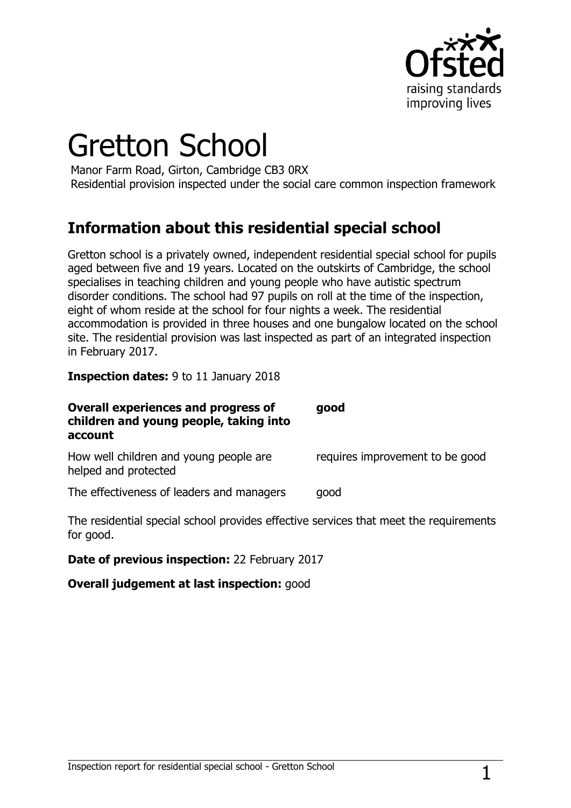

# Gretton School

Manor Farm Road, Girton, Cambridge CB3 0RX Residential provision inspected under the social care common inspection framework

## **Information about this residential special school**

Gretton school is a privately owned, independent residential special school for pupils aged between five and 19 years. Located on the outskirts of Cambridge, the school specialises in teaching children and young people who have autistic spectrum disorder conditions. The school had 97 pupils on roll at the time of the inspection, eight of whom reside at the school for four nights a week. The residential accommodation is provided in three houses and one bungalow located on the school site. The residential provision was last inspected as part of an integrated inspection in February 2017.

**Inspection dates:** 9 to 11 January 2018

| <b>Overall experiences and progress of</b><br>children and young people, taking into<br>account | good                            |
|-------------------------------------------------------------------------------------------------|---------------------------------|
| How well children and young people are<br>helped and protected                                  | requires improvement to be good |
| The effectiveness of leaders and managers                                                       | good                            |

The residential special school provides effective services that meet the requirements for good.

**Date of previous inspection:** 22 February 2017

**Overall judgement at last inspection:** good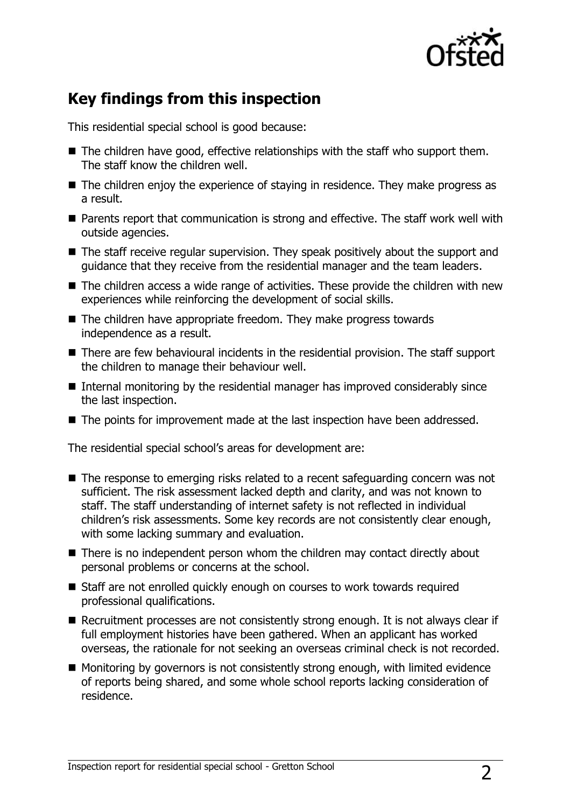

## **Key findings from this inspection**

This residential special school is good because:

- $\blacksquare$  The children have good, effective relationships with the staff who support them. The staff know the children well.
- The children enjoy the experience of staying in residence. They make progress as a result.
- Parents report that communication is strong and effective. The staff work well with outside agencies.
- The staff receive regular supervision. They speak positively about the support and guidance that they receive from the residential manager and the team leaders.
- The children access a wide range of activities. These provide the children with new experiences while reinforcing the development of social skills.
- The children have appropriate freedom. They make progress towards independence as a result.
- There are few behavioural incidents in the residential provision. The staff support the children to manage their behaviour well.
- Internal monitoring by the residential manager has improved considerably since the last inspection.
- The points for improvement made at the last inspection have been addressed.

The residential special school's areas for development are:

- The response to emerging risks related to a recent safeguarding concern was not sufficient. The risk assessment lacked depth and clarity, and was not known to staff. The staff understanding of internet safety is not reflected in individual children's risk assessments. Some key records are not consistently clear enough, with some lacking summary and evaluation.
- There is no independent person whom the children may contact directly about personal problems or concerns at the school.
- Staff are not enrolled quickly enough on courses to work towards required professional qualifications.
- Recruitment processes are not consistently strong enough. It is not always clear if full employment histories have been gathered. When an applicant has worked overseas, the rationale for not seeking an overseas criminal check is not recorded.
- Monitoring by governors is not consistently strong enough, with limited evidence of reports being shared, and some whole school reports lacking consideration of residence.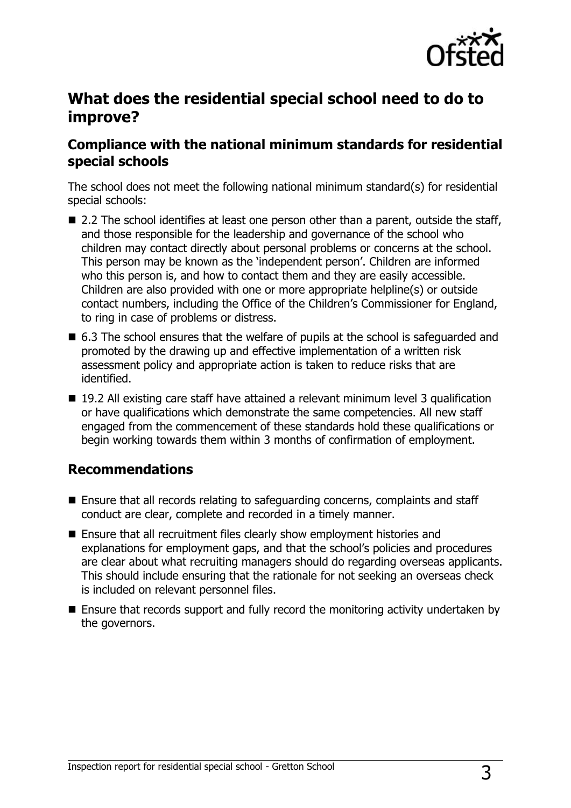

## **What does the residential special school need to do to improve?**

## **Compliance with the national minimum standards for residential special schools**

The school does not meet the following national minimum standard(s) for residential special schools:

- 2.2 The school identifies at least one person other than a parent, outside the staff, and those responsible for the leadership and governance of the school who children may contact directly about personal problems or concerns at the school. This person may be known as the 'independent person'. Children are informed who this person is, and how to contact them and they are easily accessible. Children are also provided with one or more appropriate helpline(s) or outside contact numbers, including the Office of the Children's Commissioner for England, to ring in case of problems or distress.
- 6.3 The school ensures that the welfare of pupils at the school is safeguarded and promoted by the drawing up and effective implementation of a written risk assessment policy and appropriate action is taken to reduce risks that are identified.
- 19.2 All existing care staff have attained a relevant minimum level 3 qualification or have qualifications which demonstrate the same competencies. All new staff engaged from the commencement of these standards hold these qualifications or begin working towards them within 3 months of confirmation of employment.

### **Recommendations**

- Ensure that all records relating to safeguarding concerns, complaints and staff conduct are clear, complete and recorded in a timely manner.
- Ensure that all recruitment files clearly show employment histories and explanations for employment gaps, and that the school's policies and procedures are clear about what recruiting managers should do regarding overseas applicants. This should include ensuring that the rationale for not seeking an overseas check is included on relevant personnel files.
- Ensure that records support and fully record the monitoring activity undertaken by the governors.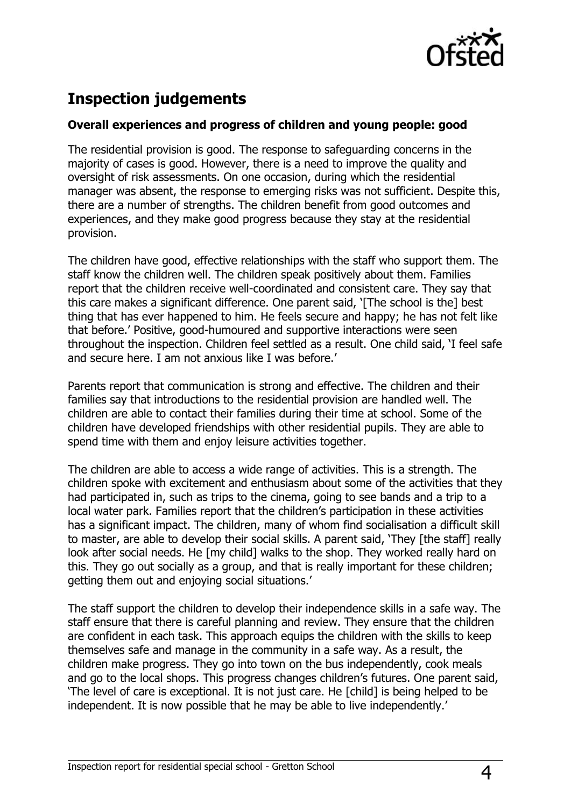

# **Inspection judgements**

#### **Overall experiences and progress of children and young people: good**

The residential provision is good. The response to safeguarding concerns in the majority of cases is good. However, there is a need to improve the quality and oversight of risk assessments. On one occasion, during which the residential manager was absent, the response to emerging risks was not sufficient. Despite this, there are a number of strengths. The children benefit from good outcomes and experiences, and they make good progress because they stay at the residential provision.

The children have good, effective relationships with the staff who support them. The staff know the children well. The children speak positively about them. Families report that the children receive well-coordinated and consistent care. They say that this care makes a significant difference. One parent said, '[The school is the] best thing that has ever happened to him. He feels secure and happy; he has not felt like that before.' Positive, good-humoured and supportive interactions were seen throughout the inspection. Children feel settled as a result. One child said, 'I feel safe and secure here. I am not anxious like I was before.'

Parents report that communication is strong and effective. The children and their families say that introductions to the residential provision are handled well. The children are able to contact their families during their time at school. Some of the children have developed friendships with other residential pupils. They are able to spend time with them and enjoy leisure activities together.

The children are able to access a wide range of activities. This is a strength. The children spoke with excitement and enthusiasm about some of the activities that they had participated in, such as trips to the cinema, going to see bands and a trip to a local water park. Families report that the children's participation in these activities has a significant impact. The children, many of whom find socialisation a difficult skill to master, are able to develop their social skills. A parent said, 'They [the staff] really look after social needs. He [my child] walks to the shop. They worked really hard on this. They go out socially as a group, and that is really important for these children; getting them out and enjoying social situations.'

The staff support the children to develop their independence skills in a safe way. The staff ensure that there is careful planning and review. They ensure that the children are confident in each task. This approach equips the children with the skills to keep themselves safe and manage in the community in a safe way. As a result, the children make progress. They go into town on the bus independently, cook meals and go to the local shops. This progress changes children's futures. One parent said, 'The level of care is exceptional. It is not just care. He [child] is being helped to be independent. It is now possible that he may be able to live independently.'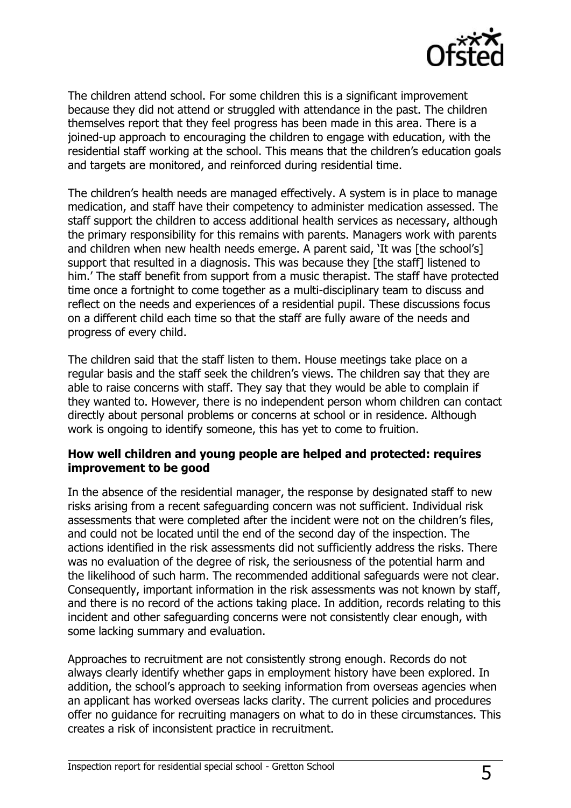

The children attend school. For some children this is a significant improvement because they did not attend or struggled with attendance in the past. The children themselves report that they feel progress has been made in this area. There is a joined-up approach to encouraging the children to engage with education, with the residential staff working at the school. This means that the children's education goals and targets are monitored, and reinforced during residential time.

The children's health needs are managed effectively. A system is in place to manage medication, and staff have their competency to administer medication assessed. The staff support the children to access additional health services as necessary, although the primary responsibility for this remains with parents. Managers work with parents and children when new health needs emerge. A parent said, 'It was [the school's] support that resulted in a diagnosis. This was because they [the staff] listened to him.' The staff benefit from support from a music therapist. The staff have protected time once a fortnight to come together as a multi-disciplinary team to discuss and reflect on the needs and experiences of a residential pupil. These discussions focus on a different child each time so that the staff are fully aware of the needs and progress of every child.

The children said that the staff listen to them. House meetings take place on a regular basis and the staff seek the children's views. The children say that they are able to raise concerns with staff. They say that they would be able to complain if they wanted to. However, there is no independent person whom children can contact directly about personal problems or concerns at school or in residence. Although work is ongoing to identify someone, this has yet to come to fruition.

#### **How well children and young people are helped and protected: requires improvement to be good**

In the absence of the residential manager, the response by designated staff to new risks arising from a recent safeguarding concern was not sufficient. Individual risk assessments that were completed after the incident were not on the children's files, and could not be located until the end of the second day of the inspection. The actions identified in the risk assessments did not sufficiently address the risks. There was no evaluation of the degree of risk, the seriousness of the potential harm and the likelihood of such harm. The recommended additional safeguards were not clear. Consequently, important information in the risk assessments was not known by staff, and there is no record of the actions taking place. In addition, records relating to this incident and other safeguarding concerns were not consistently clear enough, with some lacking summary and evaluation.

Approaches to recruitment are not consistently strong enough. Records do not always clearly identify whether gaps in employment history have been explored. In addition, the school's approach to seeking information from overseas agencies when an applicant has worked overseas lacks clarity. The current policies and procedures offer no guidance for recruiting managers on what to do in these circumstances. This creates a risk of inconsistent practice in recruitment.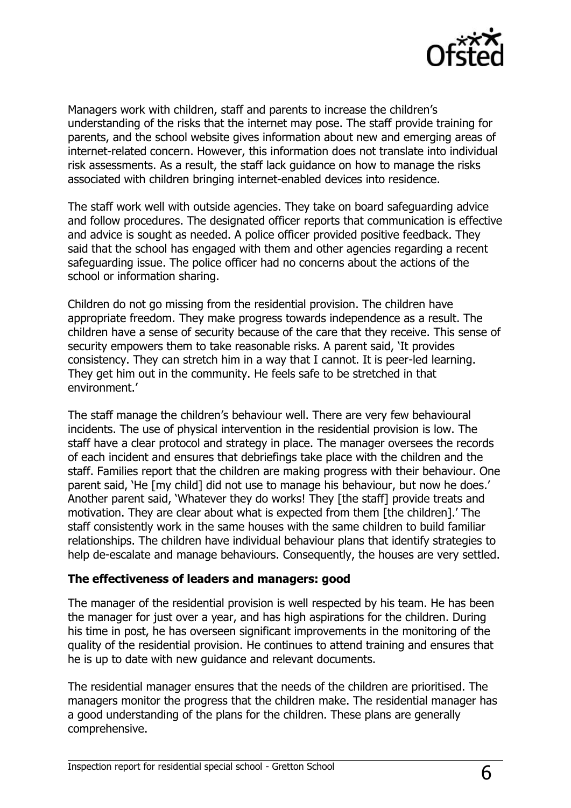

Managers work with children, staff and parents to increase the children's understanding of the risks that the internet may pose. The staff provide training for parents, and the school website gives information about new and emerging areas of internet-related concern. However, this information does not translate into individual risk assessments. As a result, the staff lack guidance on how to manage the risks associated with children bringing internet-enabled devices into residence.

The staff work well with outside agencies. They take on board safeguarding advice and follow procedures. The designated officer reports that communication is effective and advice is sought as needed. A police officer provided positive feedback. They said that the school has engaged with them and other agencies regarding a recent safeguarding issue. The police officer had no concerns about the actions of the school or information sharing.

Children do not go missing from the residential provision. The children have appropriate freedom. They make progress towards independence as a result. The children have a sense of security because of the care that they receive. This sense of security empowers them to take reasonable risks. A parent said, 'It provides consistency. They can stretch him in a way that I cannot. It is peer-led learning. They get him out in the community. He feels safe to be stretched in that environment.'

The staff manage the children's behaviour well. There are very few behavioural incidents. The use of physical intervention in the residential provision is low. The staff have a clear protocol and strategy in place. The manager oversees the records of each incident and ensures that debriefings take place with the children and the staff. Families report that the children are making progress with their behaviour. One parent said, 'He [my child] did not use to manage his behaviour, but now he does.' Another parent said, 'Whatever they do works! They [the staff] provide treats and motivation. They are clear about what is expected from them [the children].' The staff consistently work in the same houses with the same children to build familiar relationships. The children have individual behaviour plans that identify strategies to help de-escalate and manage behaviours. Consequently, the houses are very settled.

#### **The effectiveness of leaders and managers: good**

The manager of the residential provision is well respected by his team. He has been the manager for just over a year, and has high aspirations for the children. During his time in post, he has overseen significant improvements in the monitoring of the quality of the residential provision. He continues to attend training and ensures that he is up to date with new guidance and relevant documents.

The residential manager ensures that the needs of the children are prioritised. The managers monitor the progress that the children make. The residential manager has a good understanding of the plans for the children. These plans are generally comprehensive.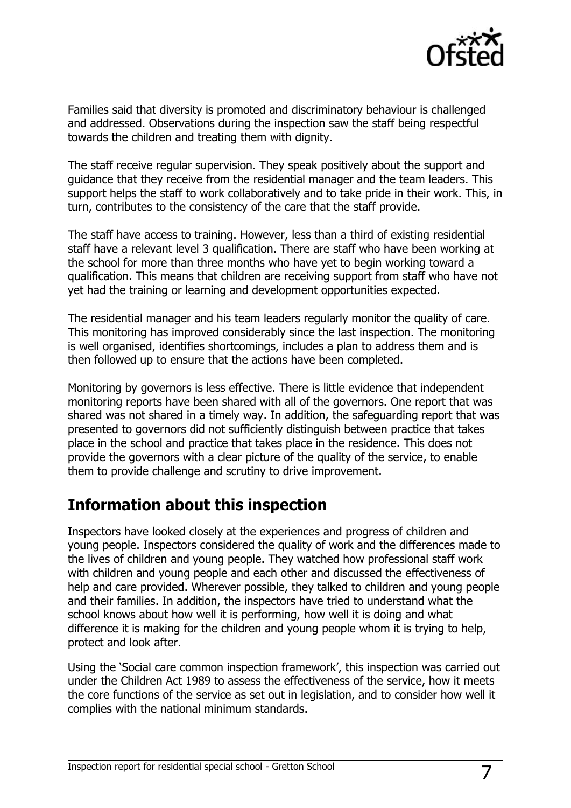

Families said that diversity is promoted and discriminatory behaviour is challenged and addressed. Observations during the inspection saw the staff being respectful towards the children and treating them with dignity.

The staff receive regular supervision. They speak positively about the support and guidance that they receive from the residential manager and the team leaders. This support helps the staff to work collaboratively and to take pride in their work. This, in turn, contributes to the consistency of the care that the staff provide.

The staff have access to training. However, less than a third of existing residential staff have a relevant level 3 qualification. There are staff who have been working at the school for more than three months who have yet to begin working toward a qualification. This means that children are receiving support from staff who have not yet had the training or learning and development opportunities expected.

The residential manager and his team leaders regularly monitor the quality of care. This monitoring has improved considerably since the last inspection. The monitoring is well organised, identifies shortcomings, includes a plan to address them and is then followed up to ensure that the actions have been completed.

Monitoring by governors is less effective. There is little evidence that independent monitoring reports have been shared with all of the governors. One report that was shared was not shared in a timely way. In addition, the safeguarding report that was presented to governors did not sufficiently distinguish between practice that takes place in the school and practice that takes place in the residence. This does not provide the governors with a clear picture of the quality of the service, to enable them to provide challenge and scrutiny to drive improvement.

## **Information about this inspection**

Inspectors have looked closely at the experiences and progress of children and young people. Inspectors considered the quality of work and the differences made to the lives of children and young people. They watched how professional staff work with children and young people and each other and discussed the effectiveness of help and care provided. Wherever possible, they talked to children and young people and their families. In addition, the inspectors have tried to understand what the school knows about how well it is performing, how well it is doing and what difference it is making for the children and young people whom it is trying to help, protect and look after.

Using the 'Social care common inspection framework', this inspection was carried out under the Children Act 1989 to assess the effectiveness of the service, how it meets the core functions of the service as set out in legislation, and to consider how well it complies with the national minimum standards.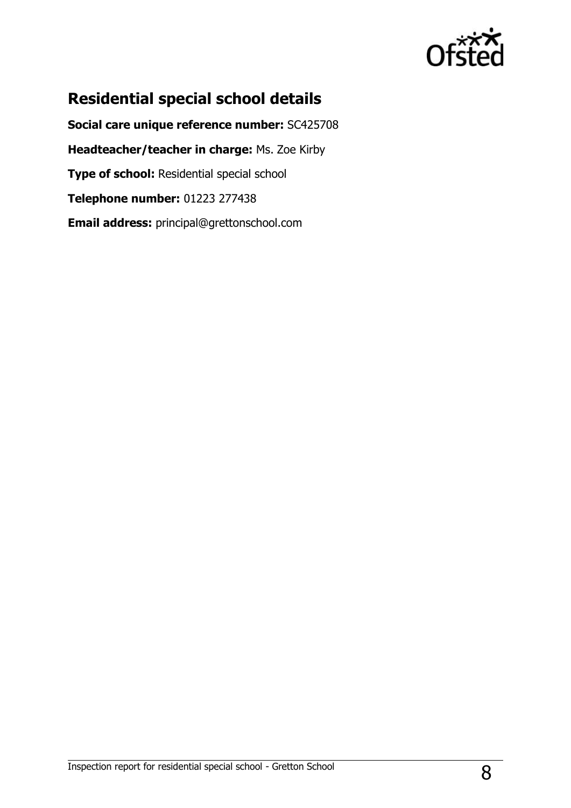

# **Residential special school details**

**Social care unique reference number:** SC425708 **Headteacher/teacher in charge:** Ms. Zoe Kirby **Type of school:** Residential special school **Telephone number:** 01223 277438 **Email address:** principal@grettonschool.com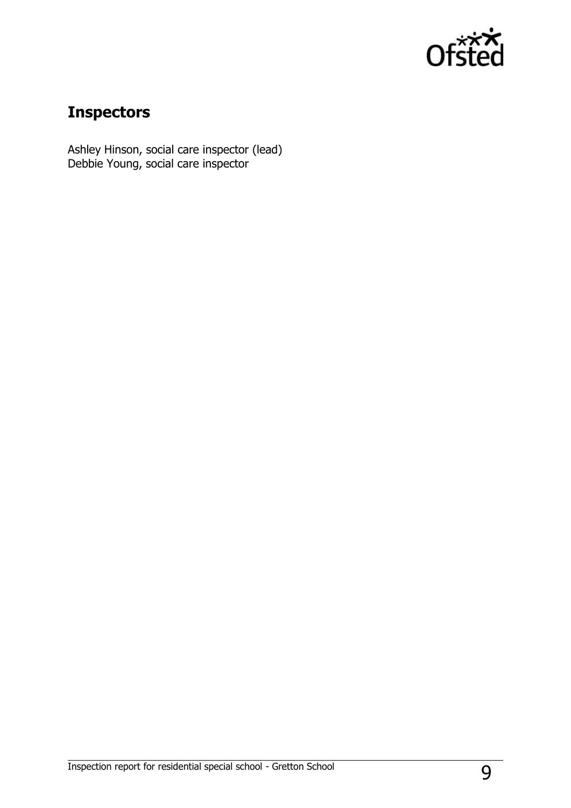

## **Inspectors**

Ashley Hinson, social care inspector (lead) Debbie Young, social care inspector